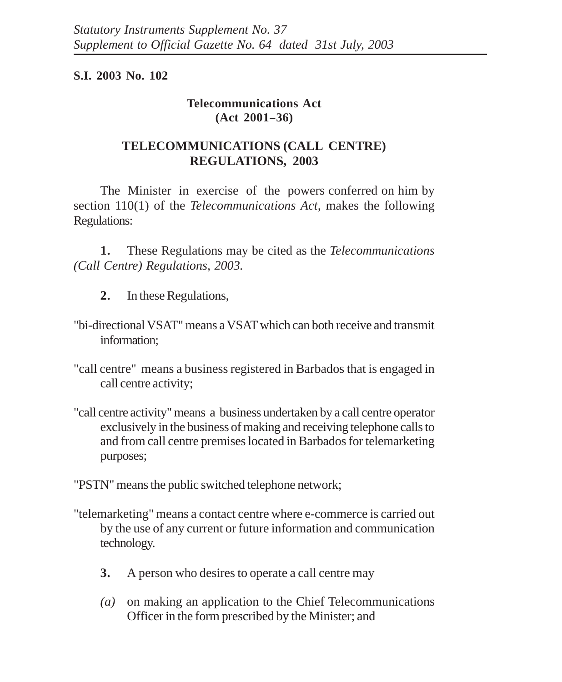## **S.I. 2003 No. 102**

## **Telecommunications Act**  $(Act 2001 - 36)$

## **TELECOMMUNICATIONS (CALL CENTRE) REGULATIONS, 2003**

The Minister in exercise of the powers conferred on him by section 110(1) of the *Telecommunications Act*, makes the following Regulations:

**1.** These Regulations may be cited as the *Telecommunications (Call Centre) Regulations, 2003.*

- **2.** In these Regulations,
- "bi-directional VSAT" means a VSAT which can both receive and transmit information;
- "call centre" means a business registered in Barbados that is engaged in call centre activity;
- "call centre activity" means a business undertaken by a call centre operator exclusively in the business of making and receiving telephone calls to and from call centre premises located in Barbados for telemarketing purposes;

"PSTN" means the public switched telephone network;

- "telemarketing" means a contact centre where e-commerce is carried out by the use of any current or future information and communication technology.
	- **3.** A person who desires to operate a call centre may
	- *(a)* on making an application to the Chief Telecommunications Officer in the form prescribed by the Minister; and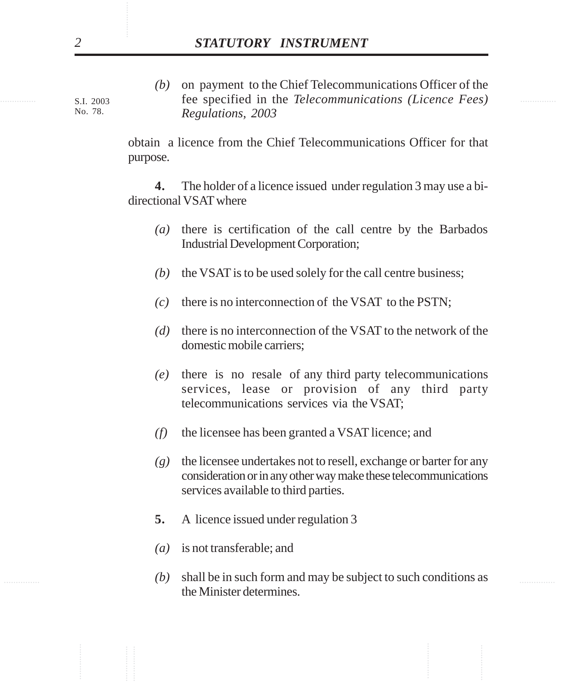............... ............... fee specified in the *Telecommunications (Licence Fees)* ............... ............... ............... ............... ............... ............... *(b)* on payment to the Chief Telecommunications Officer of the *Regulations, 2003*

obtain a licence from the Chief Telecommunications Officer for that purpose.

**4.** The holder of a licence issued under regulation 3 may use a bidirectional VSAT where

- *(a)* there is certification of the call centre by the Barbados Industrial Development Corporation;
- *(b)* the VSAT is to be used solely for the call centre business;
- *(c)* there is no interconnection of the VSAT to the PSTN;
- *(d)* there is no interconnection of the VSAT to the network of the domestic mobile carriers;
- *(e)* there is no resale of any third party telecommunications services, lease or provision of any third party telecommunications services via the VSAT;
- *(f)* the licensee has been granted a VSAT licence; and
- *(g)* the licensee undertakes not to resell, exchange or barter for any consideration or in any other way make these telecommunications services available to third parties.
- **5.** A licence issued under regulation 3
- *(a)* is not transferable; and
- *(b)* shall be in such form and may be subject to such conditions as the Minister determines.

S.I. 2003 No. 78.